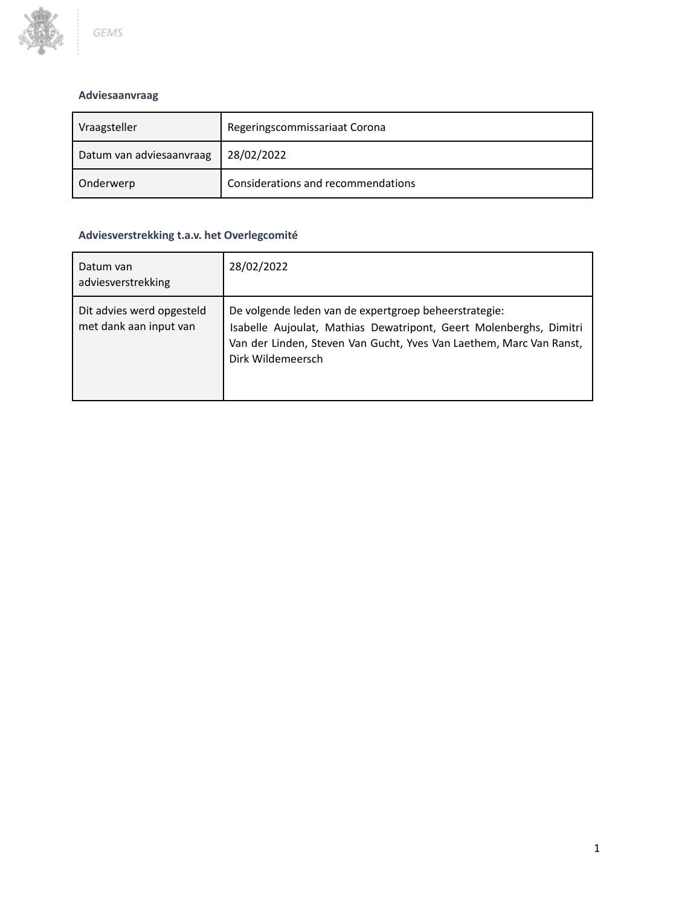

# **Adviesaanvraag**

| Vraagsteller             | Regeringscommissariaat Corona      |
|--------------------------|------------------------------------|
| Datum van adviesaanvraag | 28/02/2022                         |
| Onderwerp                | Considerations and recommendations |

# **Adviesverstrekking t.a.v. het Overlegcomité**

| Datum van<br>adviesverstrekking                     | 28/02/2022                                                                                                                                                                                                              |
|-----------------------------------------------------|-------------------------------------------------------------------------------------------------------------------------------------------------------------------------------------------------------------------------|
| Dit advies werd opgesteld<br>met dank aan input van | De volgende leden van de expertgroep beheerstrategie:<br>Isabelle Aujoulat, Mathias Dewatripont, Geert Molenberghs, Dimitri<br>Van der Linden, Steven Van Gucht, Yves Van Laethem, Marc Van Ranst,<br>Dirk Wildemeersch |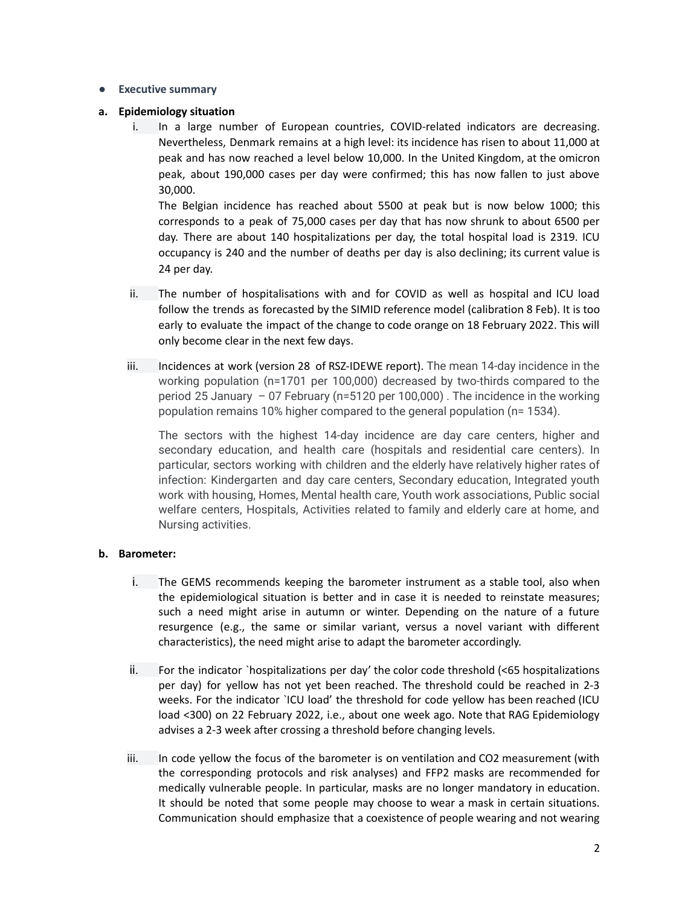#### **● Executive summary**

#### **a. Epidemiology situation**

i. In a large number of European countries, COVID-related indicators are decreasing. Nevertheless, Denmark remains at a high level: its incidence has risen to about 11,000 at peak and has now reached a level below 10,000. In the United Kingdom, at the omicron peak, about 190,000 cases per day were confirmed; this has now fallen to just above 30,000.

The Belgian incidence has reached about 5500 at peak but is now below 1000; this corresponds to a peak of 75,000 cases per day that has now shrunk to about 6500 per day. There are about 140 hospitalizations per day, the total hospital load is 2319. ICU occupancy is 240 and the number of deaths per day is also declining; its current value is 24 per day.

- ii. The number of hospitalisations with and for COVID as well as hospital and ICU load follow the trends as forecasted by the SIMID reference model (calibration 8 Feb). It is too early to evaluate the impact of the change to code orange on 18 February 2022. This will only become clear in the next few days.
- iii. Incidences at work (version 28 of RSZ-IDEWE report). The mean 14-day incidence in the working population (n=1701 per 100,000) decreased by two-thirds compared to the period 25 January – 07 February (n=5120 per 100,000) . The incidence in the working population remains 10% higher compared to the general population (n= 1534).

The sectors with the highest 14-day incidence are day care centers, higher and secondary education, and health care (hospitals and residential care centers). In particular, sectors working with children and the elderly have relatively higher rates of infection: Kindergarten and day care centers, Secondary education, Integrated youth work with housing, Homes, Mental health care, Youth work associations, Public social welfare centers, Hospitals, Activities related to family and elderly care at home, and Nursing activities.

# **b. Barometer:**

- i. The GEMS recommends keeping the barometer instrument as a stable tool, also when the epidemiological situation is better and in case it is needed to reinstate measures; such a need might arise in autumn or winter. Depending on the nature of a future resurgence (e.g., the same or similar variant, versus a novel variant with different characteristics), the need might arise to adapt the barometer accordingly.
- ii. For the indicator `hospitalizations per day' the color code threshold (<65 hospitalizations per day) for yellow has not yet been reached. The threshold could be reached in 2-3 weeks. For the indicator `ICU load' the threshold for code yellow has been reached (ICU load <300) on 22 February 2022, i.e., about one week ago. Note that RAG Epidemiology advises a 2-3 week after crossing a threshold before changing levels.
- iii. In code yellow the focus of the barometer is on ventilation and CO2 measurement (with the corresponding protocols and risk analyses) and FFP2 masks are recommended for medically vulnerable people. In particular, masks are no longer mandatory in education. It should be noted that some people may choose to wear a mask in certain situations. Communication should emphasize that a coexistence of people wearing and not wearing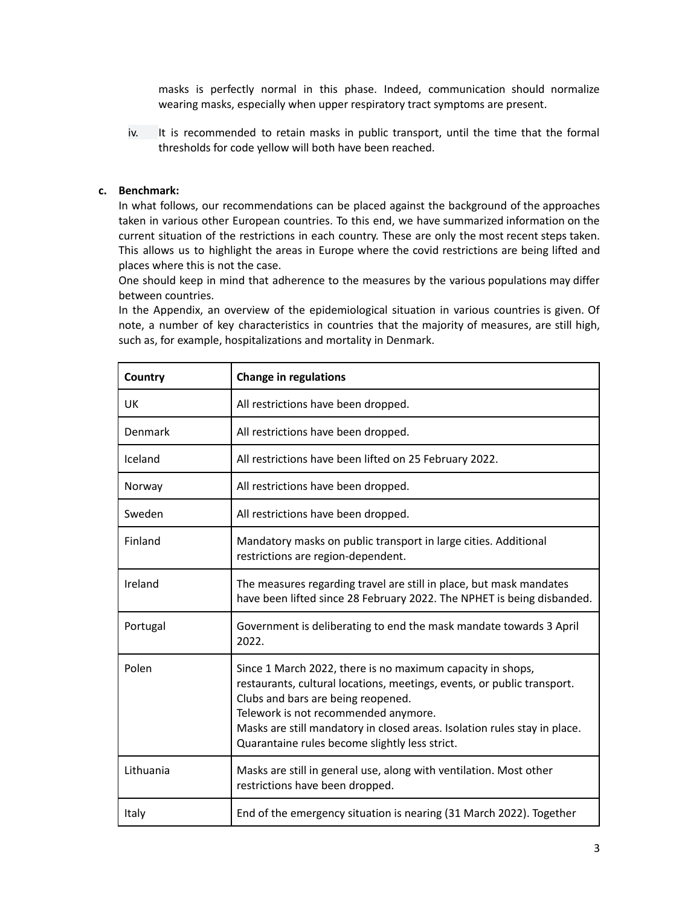masks is perfectly normal in this phase. Indeed, communication should normalize wearing masks, especially when upper respiratory tract symptoms are present.

iv. It is recommended to retain masks in public transport, until the time that the formal thresholds for code yellow will both have been reached.

# **c. Benchmark:**

In what follows, our recommendations can be placed against the background of the approaches taken in various other European countries. To this end, we have summarized information on the current situation of the restrictions in each country. These are only the most recent steps taken. This allows us to highlight the areas in Europe where the covid restrictions are being lifted and places where this is not the case.

One should keep in mind that adherence to the measures by the various populations may differ between countries.

In the Appendix, an overview of the epidemiological situation in various countries is given. Of note, a number of key characteristics in countries that the majority of measures, are still high, such as, for example, hospitalizations and mortality in Denmark.

| Country   | <b>Change in regulations</b>                                                                                                                                                                                                                                                                                                                       |
|-----------|----------------------------------------------------------------------------------------------------------------------------------------------------------------------------------------------------------------------------------------------------------------------------------------------------------------------------------------------------|
| <b>UK</b> | All restrictions have been dropped.                                                                                                                                                                                                                                                                                                                |
| Denmark   | All restrictions have been dropped.                                                                                                                                                                                                                                                                                                                |
| Iceland   | All restrictions have been lifted on 25 February 2022.                                                                                                                                                                                                                                                                                             |
| Norway    | All restrictions have been dropped.                                                                                                                                                                                                                                                                                                                |
| Sweden    | All restrictions have been dropped.                                                                                                                                                                                                                                                                                                                |
| Finland   | Mandatory masks on public transport in large cities. Additional<br>restrictions are region-dependent.                                                                                                                                                                                                                                              |
| Ireland   | The measures regarding travel are still in place, but mask mandates<br>have been lifted since 28 February 2022. The NPHET is being disbanded.                                                                                                                                                                                                      |
| Portugal  | Government is deliberating to end the mask mandate towards 3 April<br>2022.                                                                                                                                                                                                                                                                        |
| Polen     | Since 1 March 2022, there is no maximum capacity in shops,<br>restaurants, cultural locations, meetings, events, or public transport.<br>Clubs and bars are being reopened.<br>Telework is not recommended anymore.<br>Masks are still mandatory in closed areas. Isolation rules stay in place.<br>Quarantaine rules become slightly less strict. |
| Lithuania | Masks are still in general use, along with ventilation. Most other<br>restrictions have been dropped.                                                                                                                                                                                                                                              |
| Italy     | End of the emergency situation is nearing (31 March 2022). Together                                                                                                                                                                                                                                                                                |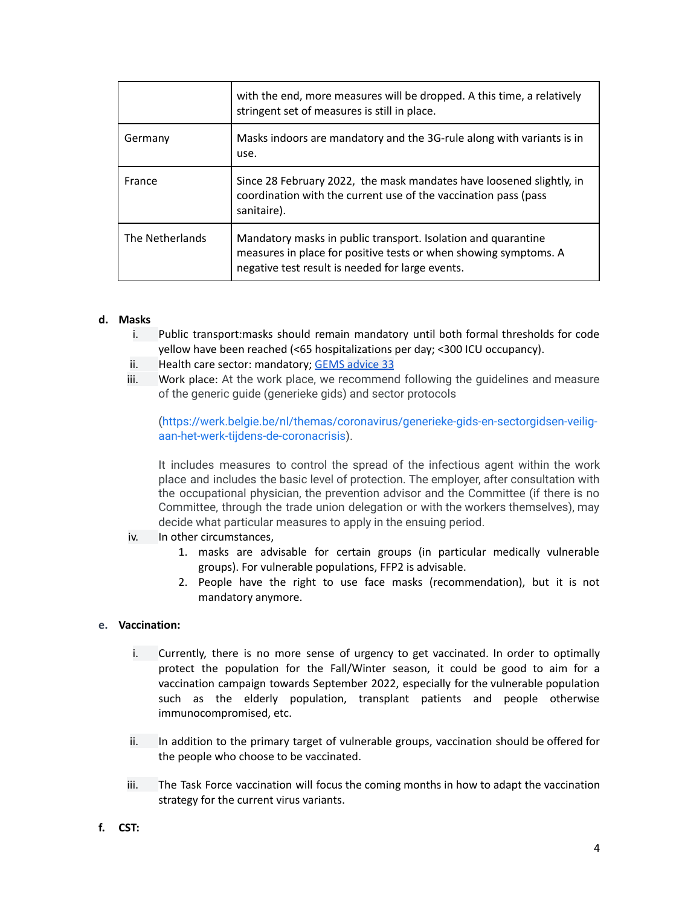|                 | with the end, more measures will be dropped. A this time, a relatively<br>stringent set of measures is still in place.                                                                |
|-----------------|---------------------------------------------------------------------------------------------------------------------------------------------------------------------------------------|
| Germany         | Masks indoors are mandatory and the 3G-rule along with variants is in<br>use.                                                                                                         |
| France          | Since 28 February 2022, the mask mandates have loosened slightly, in<br>coordination with the current use of the vaccination pass (pass<br>sanitaire).                                |
| The Netherlands | Mandatory masks in public transport. Isolation and quarantine<br>measures in place for positive tests or when showing symptoms. A<br>negative test result is needed for large events. |

# **d. Masks**

- i. Public transport:masks should remain mandatory until both formal thresholds for code yellow have been reached (<65 hospitalizations per day; <300 ICU occupancy).
- ii. Health care sector: mandatory; GEMS [advice](https://fdn01.fed.be/documents/e5964f14ed9b9e88ffc636111f998461/GEMS_033_barometer_final.pdf) 33
- iii. Work place: At the work place, we recommend following the guidelines and measure of the generic guide (generieke gids) and sector protocols

[\(https://werk.belgie.be/nl/themas/coronavirus/generieke-gids-en-sectorgidsen-veilig](https://werk.belgie.be/nl/themas/coronavirus/generieke-gids-en-sectorgidsen-veilig-aan-het-werk-tijdens-de-coronacrisis)[aan-het-werk-tijdens-de-coronacrisis\)](https://werk.belgie.be/nl/themas/coronavirus/generieke-gids-en-sectorgidsen-veilig-aan-het-werk-tijdens-de-coronacrisis).

It includes measures to control the spread of the infectious agent within the work place and includes the basic level of protection. The employer, after consultation with the occupational physician, the prevention advisor and the Committee (if there is no Committee, through the trade union delegation or with the workers themselves), may decide what particular measures to apply in the ensuing period.

- iv. In other circumstances,
	- 1. masks are advisable for certain groups (in particular medically vulnerable groups). For vulnerable populations, FFP2 is advisable.
	- 2. People have the right to use face masks (recommendation), but it is not mandatory anymore.

#### **e. Vaccination:**

- i. Currently, there is no more sense of urgency to get vaccinated. In order to optimally protect the population for the Fall/Winter season, it could be good to aim for a vaccination campaign towards September 2022, especially for the vulnerable population such as the elderly population, transplant patients and people otherwise immunocompromised, etc.
- ii. In addition to the primary target of vulnerable groups, vaccination should be offered for the people who choose to be vaccinated.
- iii. The Task Force vaccination will focus the coming months in how to adapt the vaccination strategy for the current virus variants.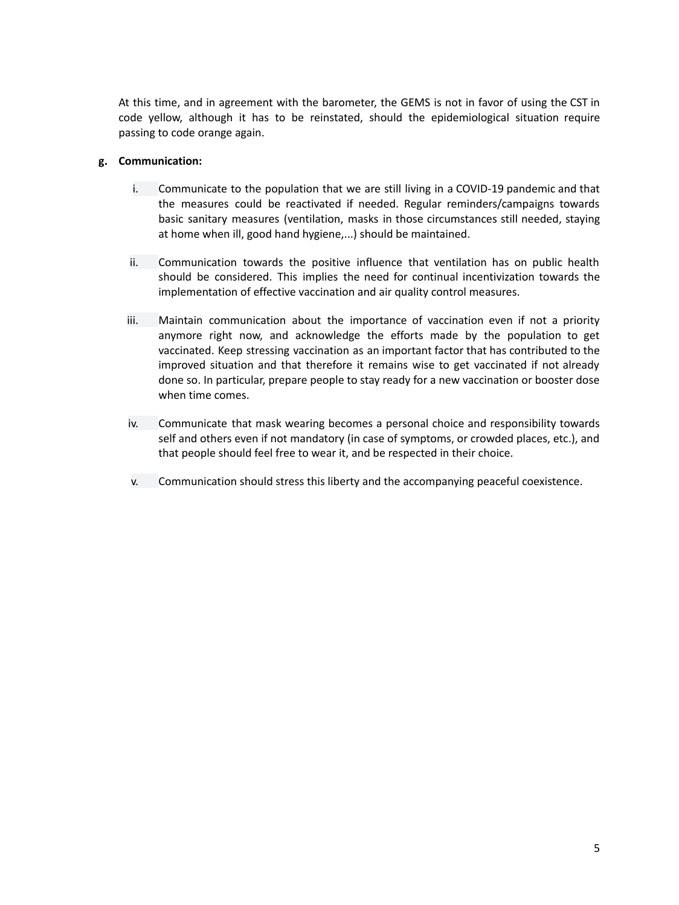At this time, and in agreement with the barometer, the GEMS is not in favor of using the CST in code yellow, although it has to be reinstated, should the epidemiological situation require passing to code orange again.

#### **g. Communication:**

- i. Communicate to the population that we are still living in a COVID-19 pandemic and that the measures could be reactivated if needed. Regular reminders/campaigns towards basic sanitary measures (ventilation, masks in those circumstances still needed, staying at home when ill, good hand hygiene,...) should be maintained.
- ii. Communication towards the positive influence that ventilation has on public health should be considered. This implies the need for continual incentivization towards the implementation of effective vaccination and air quality control measures.
- iii. Maintain communication about the importance of vaccination even if not a priority anymore right now, and acknowledge the efforts made by the population to get vaccinated. Keep stressing vaccination as an important factor that has contributed to the improved situation and that therefore it remains wise to get vaccinated if not already done so. In particular, prepare people to stay ready for a new vaccination or booster dose when time comes.
- iv. Communicate that mask wearing becomes a personal choice and responsibility towards self and others even if not mandatory (in case of symptoms, or crowded places, etc.), and that people should feel free to wear it, and be respected in their choice.
- v. Communication should stress this liberty and the accompanying peaceful coexistence.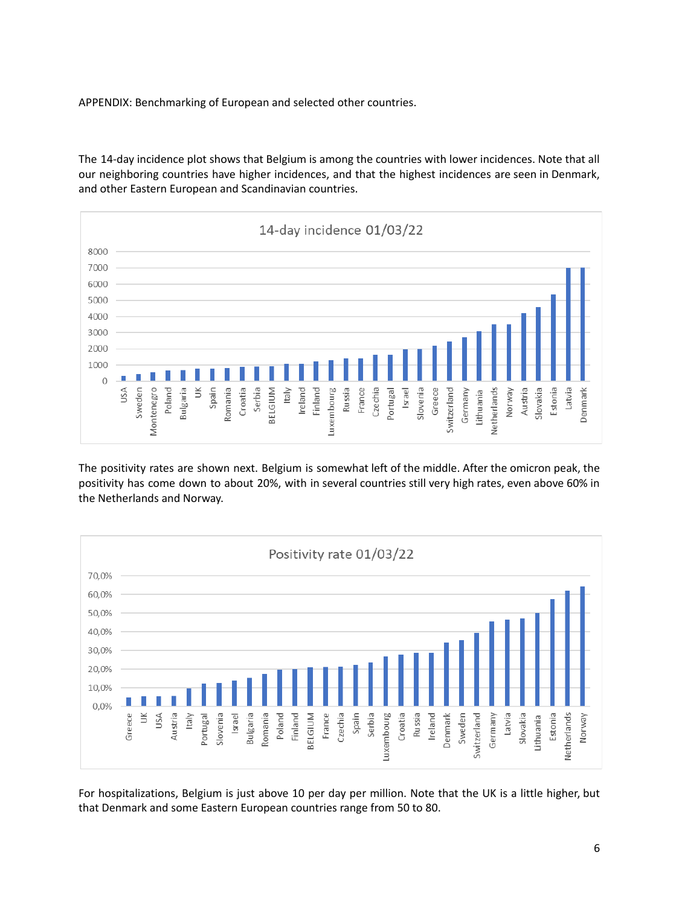APPENDIX: Benchmarking of European and selected other countries.

The 14-day incidence plot shows that Belgium is among the countries with lower incidences. Note that all our neighboring countries have higher incidences, and that the highest incidences are seen in Denmark, and other Eastern European and Scandinavian countries.



The positivity rates are shown next. Belgium is somewhat left of the middle. After the omicron peak, the positivity has come down to about 20%, with in several countries still very high rates, even above 60% in the Netherlands and Norway.



For hospitalizations, Belgium is just above 10 per day per million. Note that the UK is a little higher, but that Denmark and some Eastern European countries range from 50 to 80.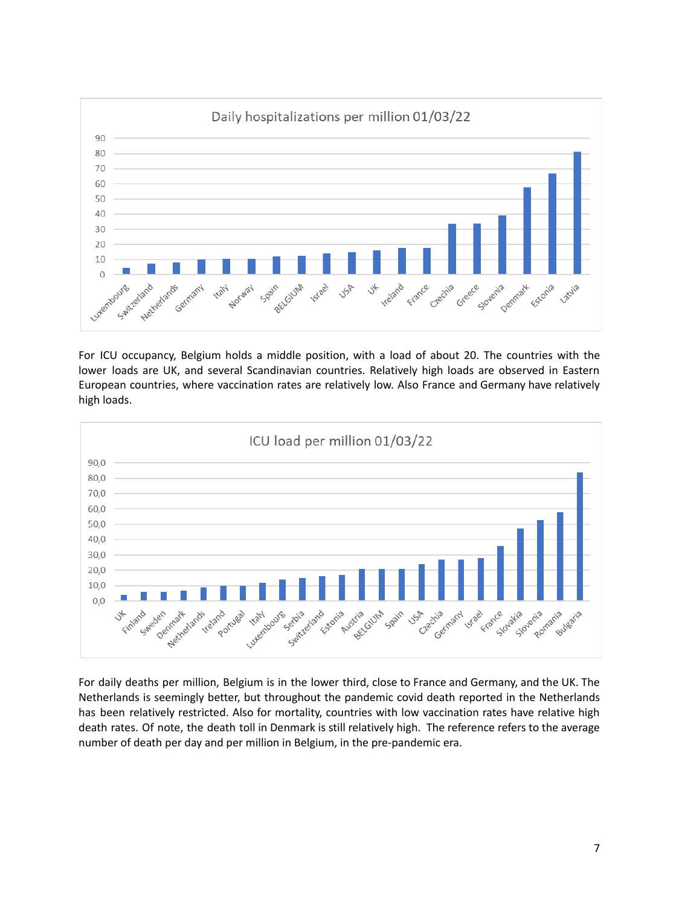

For ICU occupancy, Belgium holds a middle position, with a load of about 20. The countries with the lower loads are UK, and several Scandinavian countries. Relatively high loads are observed in Eastern European countries, where vaccination rates are relatively low. Also France and Germany have relatively high loads.



For daily deaths per million, Belgium is in the lower third, close to France and Germany, and the UK. The Netherlands is seemingly better, but throughout the pandemic covid death reported in the Netherlands has been relatively restricted. Also for mortality, countries with low vaccination rates have relative high death rates. Of note, the death toll in Denmark is still relatively high. The reference refers to the average number of death per day and per million in Belgium, in the pre-pandemic era.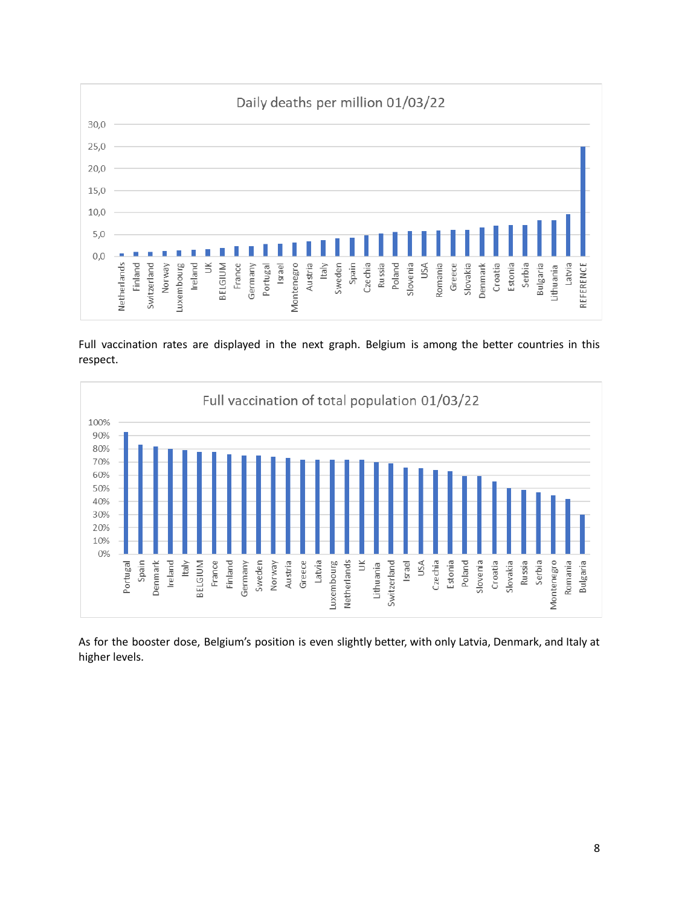

Full vaccination rates are displayed in the next graph. Belgium is among the better countries in this respect.



As for the booster dose, Belgium's position is even slightly better, with only Latvia, Denmark, and Italy at higher levels.